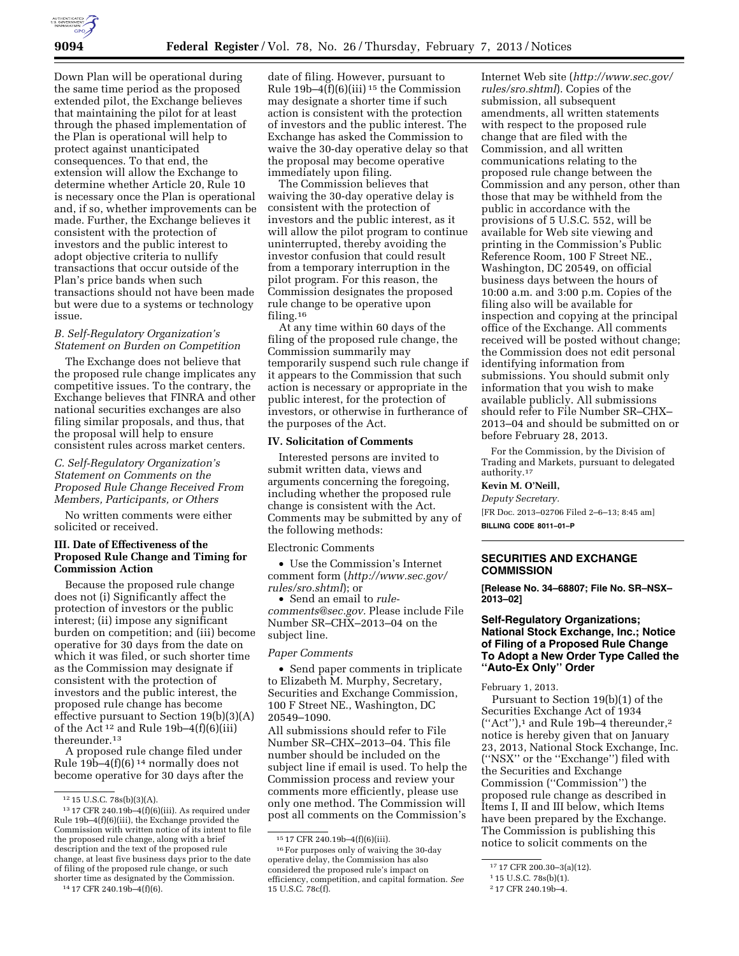

Down Plan will be operational during the same time period as the proposed extended pilot, the Exchange believes that maintaining the pilot for at least through the phased implementation of the Plan is operational will help to protect against unanticipated consequences. To that end, the extension will allow the Exchange to determine whether Article 20, Rule 10 is necessary once the Plan is operational and, if so, whether improvements can be made. Further, the Exchange believes it consistent with the protection of investors and the public interest to adopt objective criteria to nullify transactions that occur outside of the Plan's price bands when such transactions should not have been made but were due to a systems or technology issue.

## *B. Self-Regulatory Organization's Statement on Burden on Competition*

The Exchange does not believe that the proposed rule change implicates any competitive issues. To the contrary, the Exchange believes that FINRA and other national securities exchanges are also filing similar proposals, and thus, that the proposal will help to ensure consistent rules across market centers.

*C. Self-Regulatory Organization's Statement on Comments on the Proposed Rule Change Received From Members, Participants, or Others* 

No written comments were either solicited or received.

## **III. Date of Effectiveness of the Proposed Rule Change and Timing for Commission Action**

Because the proposed rule change does not (i) Significantly affect the protection of investors or the public interest; (ii) impose any significant burden on competition; and (iii) become operative for 30 days from the date on which it was filed, or such shorter time as the Commission may designate if consistent with the protection of investors and the public interest, the proposed rule change has become effective pursuant to Section 19(b)(3)(A) of the Act 12 and Rule 19b–4(f)(6)(iii) thereunder.13

A proposed rule change filed under Rule 19b-4(f)(6)  $14$  normally does not become operative for 30 days after the

14 17 CFR 240.19b–4(f)(6).

date of filing. However, pursuant to Rule 19b–4 $\overline{f}$ (6)(iii)<sup>15</sup> the Commission may designate a shorter time if such action is consistent with the protection of investors and the public interest. The Exchange has asked the Commission to waive the 30-day operative delay so that the proposal may become operative immediately upon filing.

The Commission believes that waiving the 30-day operative delay is consistent with the protection of investors and the public interest, as it will allow the pilot program to continue uninterrupted, thereby avoiding the investor confusion that could result from a temporary interruption in the pilot program. For this reason, the Commission designates the proposed rule change to be operative upon filing.16

At any time within 60 days of the filing of the proposed rule change, the Commission summarily may temporarily suspend such rule change if it appears to the Commission that such action is necessary or appropriate in the public interest, for the protection of investors, or otherwise in furtherance of the purposes of the Act.

#### **IV. Solicitation of Comments**

Interested persons are invited to submit written data, views and arguments concerning the foregoing, including whether the proposed rule change is consistent with the Act. Comments may be submitted by any of the following methods:

Electronic Comments

• Use the Commission's Internet comment form (*[http://www.sec.gov/](http://www.sec.gov/rules/sro.shtml)  [rules/sro.shtml](http://www.sec.gov/rules/sro.shtml)*); or

• Send an email to *[rule](mailto:rule-comments@sec.gov)[comments@sec.gov.](mailto:rule-comments@sec.gov)* Please include File Number SR–CHX–2013–04 on the subject line.

#### *Paper Comments*

• Send paper comments in triplicate to Elizabeth M. Murphy, Secretary, Securities and Exchange Commission, 100 F Street NE., Washington, DC 20549–1090.

All submissions should refer to File Number SR–CHX–2013–04. This file number should be included on the subject line if email is used. To help the Commission process and review your comments more efficiently, please use only one method. The Commission will post all comments on the Commission's

Internet Web site (*[http://www.sec.gov/](http://www.sec.gov/rules/sro.shtml)  [rules/sro.shtml](http://www.sec.gov/rules/sro.shtml)*). Copies of the submission, all subsequent amendments, all written statements with respect to the proposed rule change that are filed with the Commission, and all written communications relating to the proposed rule change between the Commission and any person, other than those that may be withheld from the public in accordance with the provisions of 5 U.S.C. 552, will be available for Web site viewing and printing in the Commission's Public Reference Room, 100 F Street NE., Washington, DC 20549, on official business days between the hours of 10:00 a.m. and 3:00 p.m. Copies of the filing also will be available for inspection and copying at the principal office of the Exchange. All comments received will be posted without change; the Commission does not edit personal identifying information from submissions. You should submit only information that you wish to make available publicly. All submissions should refer to File Number SR–CHX– 2013–04 and should be submitted on or before February 28, 2013.

For the Commission, by the Division of Trading and Markets, pursuant to delegated authority.17

#### **Kevin M. O'Neill,**

*Deputy Secretary.*  [FR Doc. 2013–02706 Filed 2–6–13; 8:45 am] **BILLING CODE 8011–01–P** 

#### **SECURITIES AND EXCHANGE COMMISSION**

**[Release No. 34–68807; File No. SR–NSX– 2013–02]** 

## **Self-Regulatory Organizations; National Stock Exchange, Inc.; Notice of Filing of a Proposed Rule Change To Adopt a New Order Type Called the ''Auto-Ex Only'' Order**

February 1, 2013.

Pursuant to Section 19(b)(1) of the Securities Exchange Act of 1934  $("Act")$ ,<sup>1</sup> and Rule 19b-4 thereunder,<sup>2</sup> notice is hereby given that on January 23, 2013, National Stock Exchange, Inc. (''NSX'' or the ''Exchange'') filed with the Securities and Exchange Commission (''Commission'') the proposed rule change as described in Items I, II and III below, which Items have been prepared by the Exchange. The Commission is publishing this notice to solicit comments on the

<sup>12</sup> 15 U.S.C. 78s(b)(3)(A).

 $13$  17 CFR 240.19b-4(f)(6)(iii). As required under Rule 19b–4(f)(6)(iii), the Exchange provided the Commission with written notice of its intent to file the proposed rule change, along with a brief description and the text of the proposed rule change, at least five business days prior to the date of filing of the proposed rule change, or such shorter time as designated by the Commission.

<sup>15</sup> 17 CFR 240.19b–4(f)(6)(iii).

<sup>16</sup>For purposes only of waiving the 30-day operative delay, the Commission has also considered the proposed rule's impact on efficiency, competition, and capital formation. *See*  15 U.S.C. 78c(f).

<sup>17</sup> 17 CFR 200.30–3(a)(12).

<sup>1</sup> 15 U.S.C. 78s(b)(1).

<sup>2</sup> 17 CFR 240.19b–4.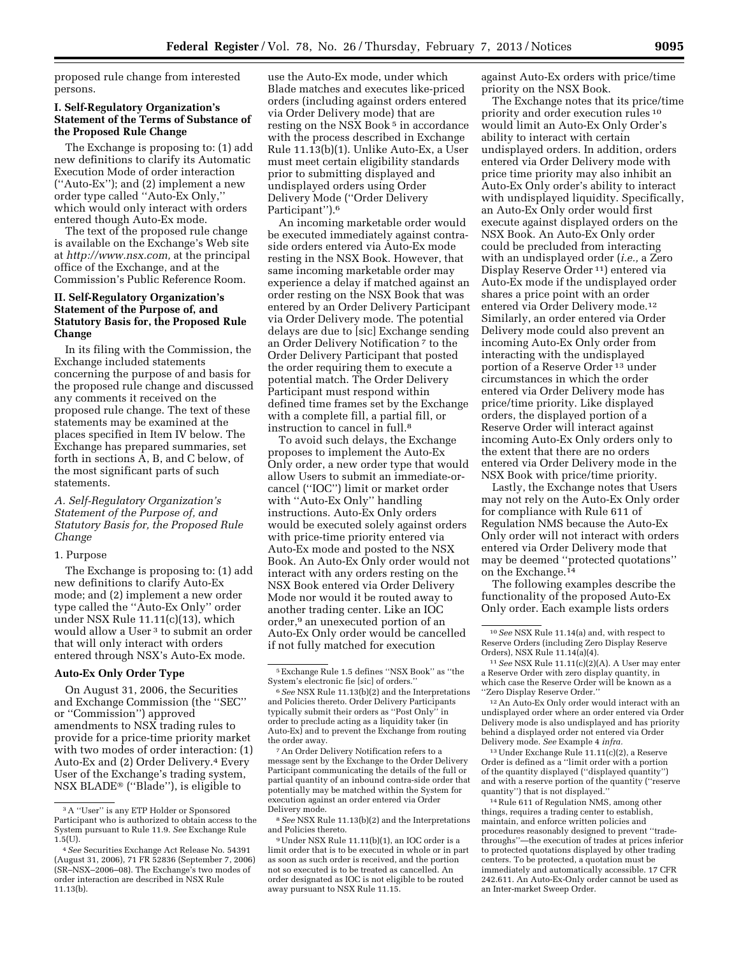proposed rule change from interested persons.

#### **I. Self-Regulatory Organization's Statement of the Terms of Substance of the Proposed Rule Change**

The Exchange is proposing to: (1) add new definitions to clarify its Automatic Execution Mode of order interaction (''Auto-Ex''); and (2) implement a new order type called ''Auto-Ex Only,'' which would only interact with orders entered though Auto-Ex mode.

The text of the proposed rule change is available on the Exchange's Web site at *[http://www.nsx.com,](http://www.nsx.com)* at the principal office of the Exchange, and at the Commission's Public Reference Room.

## **II. Self-Regulatory Organization's Statement of the Purpose of, and Statutory Basis for, the Proposed Rule Change**

In its filing with the Commission, the Exchange included statements concerning the purpose of and basis for the proposed rule change and discussed any comments it received on the proposed rule change. The text of these statements may be examined at the places specified in Item IV below. The Exchange has prepared summaries, set forth in sections A, B, and C below, of the most significant parts of such statements.

## *A. Self-Regulatory Organization's Statement of the Purpose of, and Statutory Basis for, the Proposed Rule Change*

#### 1. Purpose

The Exchange is proposing to: (1) add new definitions to clarify Auto-Ex mode; and (2) implement a new order type called the ''Auto-Ex Only'' order under NSX Rule 11.11(c)(13), which would allow a User 3 to submit an order that will only interact with orders entered through NSX's Auto-Ex mode.

#### **Auto-Ex Only Order Type**

On August 31, 2006, the Securities and Exchange Commission (the ''SEC'' or ''Commission'') approved amendments to NSX trading rules to provide for a price-time priority market with two modes of order interaction: (1) Auto-Ex and (2) Order Delivery.4 Every User of the Exchange's trading system, NSX BLADE® (''Blade''), is eligible to

use the Auto-Ex mode, under which Blade matches and executes like-priced orders (including against orders entered via Order Delivery mode) that are resting on the NSX Book<sup>5</sup> in accordance with the process described in Exchange Rule 11.13(b)(1). Unlike Auto-Ex, a User must meet certain eligibility standards prior to submitting displayed and undisplayed orders using Order Delivery Mode (''Order Delivery Participant'').6

An incoming marketable order would be executed immediately against contraside orders entered via Auto-Ex mode resting in the NSX Book. However, that same incoming marketable order may experience a delay if matched against an order resting on the NSX Book that was entered by an Order Delivery Participant via Order Delivery mode. The potential delays are due to [sic] Exchange sending an Order Delivery Notification 7 to the Order Delivery Participant that posted the order requiring them to execute a potential match. The Order Delivery Participant must respond within defined time frames set by the Exchange with a complete fill, a partial fill, or instruction to cancel in full.8

To avoid such delays, the Exchange proposes to implement the Auto-Ex Only order, a new order type that would allow Users to submit an immediate-orcancel (''IOC'') limit or market order with ''Auto-Ex Only'' handling instructions. Auto-Ex Only orders would be executed solely against orders with price-time priority entered via Auto-Ex mode and posted to the NSX Book. An Auto-Ex Only order would not interact with any orders resting on the NSX Book entered via Order Delivery Mode nor would it be routed away to another trading center. Like an IOC order,9 an unexecuted portion of an Auto-Ex Only order would be cancelled if not fully matched for execution

8*See* NSX Rule 11.13(b)(2) and the Interpretations and Policies thereto.

against Auto-Ex orders with price/time priority on the NSX Book.

The Exchange notes that its price/time priority and order execution rules 10 would limit an Auto-Ex Only Order's ability to interact with certain undisplayed orders. In addition, orders entered via Order Delivery mode with price time priority may also inhibit an Auto-Ex Only order's ability to interact with undisplayed liquidity. Specifically, an Auto-Ex Only order would first execute against displayed orders on the NSX Book. An Auto-Ex Only order could be precluded from interacting with an undisplayed order (*i.e.,* a Zero Display Reserve Order 11) entered via Auto-Ex mode if the undisplayed order shares a price point with an order entered via Order Delivery mode.12 Similarly, an order entered via Order Delivery mode could also prevent an incoming Auto-Ex Only order from interacting with the undisplayed portion of a Reserve Order 13 under circumstances in which the order entered via Order Delivery mode has price/time priority. Like displayed orders, the displayed portion of a Reserve Order will interact against incoming Auto-Ex Only orders only to the extent that there are no orders entered via Order Delivery mode in the NSX Book with price/time priority.

Lastly, the Exchange notes that Users may not rely on the Auto-Ex Only order for compliance with Rule 611 of Regulation NMS because the Auto-Ex Only order will not interact with orders entered via Order Delivery mode that may be deemed ''protected quotations'' on the Exchange.14

The following examples describe the functionality of the proposed Auto-Ex Only order. Each example lists orders

13Under Exchange Rule 11.11(c)(2), a Reserve Order is defined as a ''limit order with a portion of the quantity displayed (''displayed quantity'') and with a reserve portion of the quantity (''reserve quantity'') that is not displayed.''

14Rule 611 of Regulation NMS, among other things, requires a trading center to establish, maintain, and enforce written policies and procedures reasonably designed to prevent ''tradethroughs''—the execution of trades at prices inferior to protected quotations displayed by other trading centers. To be protected, a quotation must be immediately and automatically accessible. 17 CFR 242.611. An Auto-Ex-Only order cannot be used as an Inter-market Sweep Order.

<sup>3</sup>A ''User'' is any ETP Holder or Sponsored Participant who is authorized to obtain access to the System pursuant to Rule 11.9. *See* Exchange Rule  $1.5(U)$ .

<sup>4</sup>*See* Securities Exchange Act Release No. 54391 (August 31, 2006), 71 FR 52836 (September 7, 2006) (SR–NSX–2006–08). The Exchange's two modes of order interaction are described in NSX Rule 11.13(b).

<sup>5</sup>Exchange Rule 1.5 defines ''NSX Book'' as ''the System's electronic fie [sic] of orders.''

<sup>6</sup>*See* NSX Rule 11.13(b)(2) and the Interpretations and Policies thereto. Order Delivery Participants typically submit their orders as ''Post Only'' in order to preclude acting as a liquidity taker (in Auto-Ex) and to prevent the Exchange from routing the order away.

<sup>7</sup>An Order Delivery Notification refers to a message sent by the Exchange to the Order Delivery Participant communicating the details of the full or partial quantity of an inbound contra-side order that potentially may be matched within the System for execution against an order entered via Order Delivery mode.

<sup>9</sup>Under NSX Rule 11.11(b)(1), an IOC order is a limit order that is to be executed in whole or in part as soon as such order is received, and the portion not so executed is to be treated as cancelled. An order designated as IOC is not eligible to be routed away pursuant to NSX Rule 11.15.

<sup>10</sup>*See* NSX Rule 11.14(a) and, with respect to Reserve Orders (including Zero Display Reserve Orders), NSX Rule 11.14(a)(4).

<sup>11</sup>*See* NSX Rule 11.11(c)(2)(A). A User may enter a Reserve Order with zero display quantity, in which case the Reserve Order will be known as a ''Zero Display Reserve Order.''

<sup>12</sup>An Auto-Ex Only order would interact with an undisplayed order where an order entered via Order Delivery mode is also undisplayed and has priority behind a displayed order not entered via Order Delivery mode. *See* Example 4 *infra.*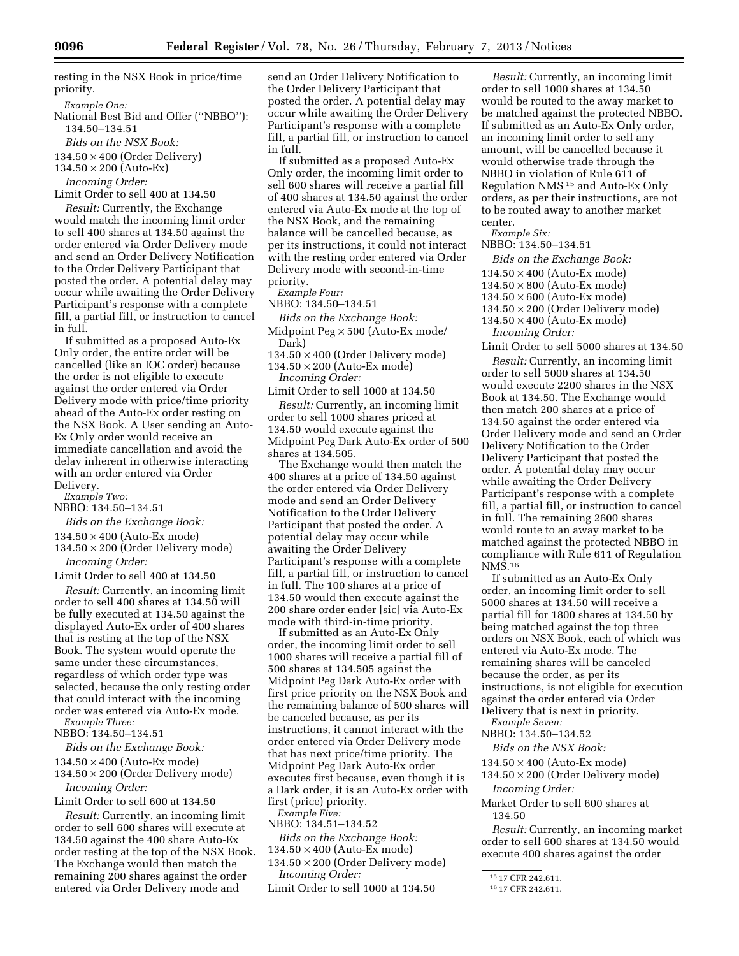resting in the NSX Book in price/time priority.

*Example One:* 

National Best Bid and Offer (''NBBO''): 134.50–134.51

*Bids on the NSX Book:* 

 $134.50 \times 400$  (Order Delivery)

 $134.50 \times 200$  (Auto-Ex)

*Incoming Order:* 

Limit Order to sell 400 at 134.50

*Result:* Currently, the Exchange would match the incoming limit order to sell 400 shares at 134.50 against the order entered via Order Delivery mode and send an Order Delivery Notification to the Order Delivery Participant that posted the order. A potential delay may occur while awaiting the Order Delivery Participant's response with a complete fill, a partial fill, or instruction to cancel in full.

If submitted as a proposed Auto-Ex Only order, the entire order will be cancelled (like an IOC order) because the order is not eligible to execute against the order entered via Order Delivery mode with price/time priority ahead of the Auto-Ex order resting on the NSX Book. A User sending an Auto-Ex Only order would receive an immediate cancellation and avoid the delay inherent in otherwise interacting with an order entered via Order Delivery. *Example Two:* 

NBBO: 134.50–134.51

*Bids on the Exchange Book:* 

 $134.50 \times 400$  (Auto-Ex mode)

134.50 × 200 (Order Delivery mode) *Incoming Order:* 

Limit Order to sell 400 at 134.50

*Result:* Currently, an incoming limit order to sell 400 shares at 134.50 will be fully executed at 134.50 against the displayed Auto-Ex order of 400 shares that is resting at the top of the NSX Book. The system would operate the same under these circumstances, regardless of which order type was selected, because the only resting order that could interact with the incoming order was entered via Auto-Ex mode. *Example Three:* 

NBBO: 134.50–134.51

*Bids on the Exchange Book:* 

134.50 × 400 (Auto-Ex mode)

134.50 × 200 (Order Delivery mode) *Incoming Order:* 

Limit Order to sell 600 at 134.50

*Result:* Currently, an incoming limit order to sell 600 shares will execute at 134.50 against the 400 share Auto-Ex order resting at the top of the NSX Book. The Exchange would then match the remaining 200 shares against the order entered via Order Delivery mode and

send an Order Delivery Notification to the Order Delivery Participant that posted the order. A potential delay may occur while awaiting the Order Delivery Participant's response with a complete fill, a partial fill, or instruction to cancel in full.

If submitted as a proposed Auto-Ex Only order, the incoming limit order to sell 600 shares will receive a partial fill of 400 shares at 134.50 against the order entered via Auto-Ex mode at the top of the NSX Book, and the remaining balance will be cancelled because, as per its instructions, it could not interact with the resting order entered via Order Delivery mode with second-in-time priority.

*Example Four:* 

NBBO: 134.50–134.51

*Bids on the Exchange Book:*  Midpoint Peg × 500 (Auto-Ex mode/

Dark)  $134.50 \times 400$  (Order Delivery mode)

134.50 × 200 (Auto-Ex mode)

*Incoming Order:* 

Limit Order to sell 1000 at 134.50 *Result:* Currently, an incoming limit order to sell 1000 shares priced at 134.50 would execute against the Midpoint Peg Dark Auto-Ex order of 500 shares at 134.505.

The Exchange would then match the 400 shares at a price of 134.50 against the order entered via Order Delivery mode and send an Order Delivery Notification to the Order Delivery Participant that posted the order. A potential delay may occur while awaiting the Order Delivery Participant's response with a complete fill, a partial fill, or instruction to cancel in full. The 100 shares at a price of 134.50 would then execute against the 200 share order ender [sic] via Auto-Ex mode with third-in-time priority.

If submitted as an Auto-Ex Only order, the incoming limit order to sell 1000 shares will receive a partial fill of 500 shares at 134.505 against the Midpoint Peg Dark Auto-Ex order with first price priority on the NSX Book and the remaining balance of 500 shares will be canceled because, as per its instructions, it cannot interact with the order entered via Order Delivery mode that has next price/time priority. The Midpoint Peg Dark Auto-Ex order executes first because, even though it is a Dark order, it is an Auto-Ex order with first (price) priority.

*Example Five:* 

NBBO: 134.51–134.52

*Bids on the Exchange Book:*   $134.50 \times 400$  (Auto-Ex mode)

 $134.50 \times 200$  (Order Delivery mode) *Incoming Order:* 

Limit Order to sell 1000 at 134.50

*Result:* Currently, an incoming limit order to sell 1000 shares at 134.50 would be routed to the away market to be matched against the protected NBBO. If submitted as an Auto-Ex Only order, an incoming limit order to sell any amount, will be cancelled because it would otherwise trade through the NBBO in violation of Rule 611 of Regulation NMS 15 and Auto-Ex Only orders, as per their instructions, are not to be routed away to another market center.

*Example Six:* 

NBBO: 134.50–134.51

*Bids on the Exchange Book:* 

 $134.50 \times 400$  (Auto-Ex mode)

 $134.50 \times 800$  (Auto-Ex mode)

 $134.50 \times 600$  (Auto-Ex mode)

 $134.50 \times 200$  (Order Delivery mode)

 $134.50 \times 400$  (Auto-Ex mode) *Incoming Order:* 

Limit Order to sell 5000 shares at 134.50

*Result:* Currently, an incoming limit order to sell 5000 shares at 134.50 would execute 2200 shares in the NSX Book at 134.50. The Exchange would then match 200 shares at a price of 134.50 against the order entered via Order Delivery mode and send an Order Delivery Notification to the Order Delivery Participant that posted the order. A potential delay may occur while awaiting the Order Delivery Participant's response with a complete fill, a partial fill, or instruction to cancel in full. The remaining 2600 shares would route to an away market to be matched against the protected NBBO in compliance with Rule 611 of Regulation NMS.16

If submitted as an Auto-Ex Only order, an incoming limit order to sell 5000 shares at 134.50 will receive a partial fill for 1800 shares at 134.50 by being matched against the top three orders on NSX Book, each of which was entered via Auto-Ex mode. The remaining shares will be canceled because the order, as per its instructions, is not eligible for execution against the order entered via Order Delivery that is next in priority. *Example Seven:* 

NBBO: 134.50–134.52

*Bids on the NSX Book:* 

134.50 × 400 (Auto-Ex mode)

 $134.50 \times 200$  (Order Delivery mode) *Incoming Order:* 

Market Order to sell 600 shares at 134.50

*Result:* Currently, an incoming market order to sell 600 shares at 134.50 would execute 400 shares against the order

15 17 CFR 242.611.

<sup>16</sup> 17 CFR 242.611.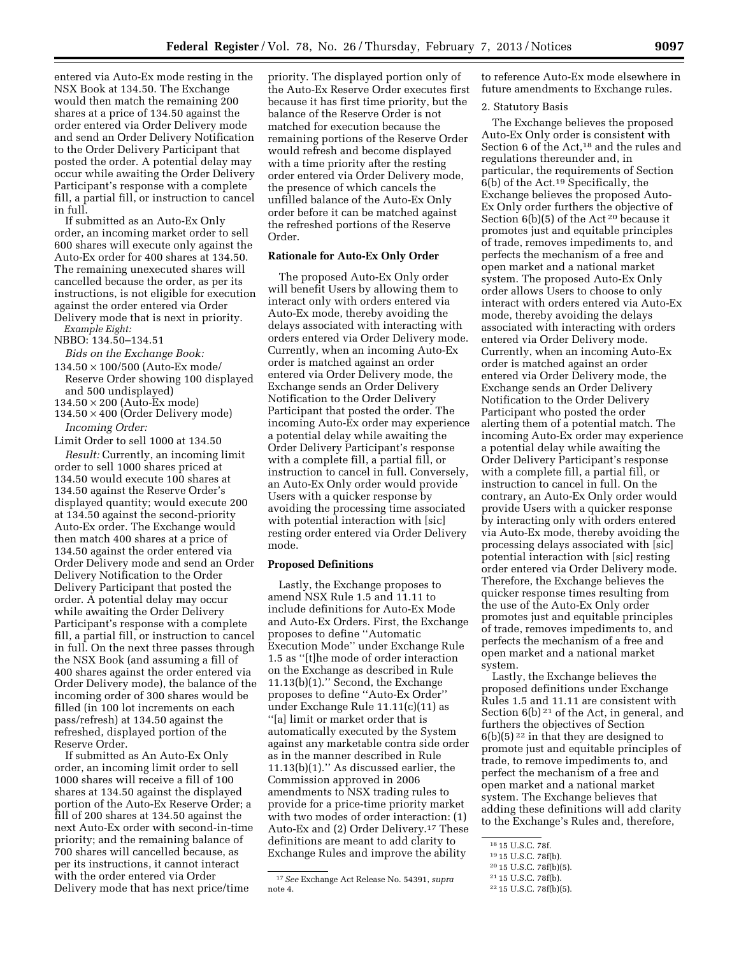entered via Auto-Ex mode resting in the NSX Book at 134.50. The Exchange would then match the remaining 200 shares at a price of 134.50 against the order entered via Order Delivery mode and send an Order Delivery Notification to the Order Delivery Participant that posted the order. A potential delay may occur while awaiting the Order Delivery Participant's response with a complete fill, a partial fill, or instruction to cancel in full.

If submitted as an Auto-Ex Only order, an incoming market order to sell 600 shares will execute only against the Auto-Ex order for 400 shares at 134.50. The remaining unexecuted shares will cancelled because the order, as per its instructions, is not eligible for execution against the order entered via Order Delivery mode that is next in priority. *Example Eight:* 

# NBBO: 134.50–134.51

*Bids on the Exchange Book:* 

- 134.50 × 100/500 (Auto-Ex mode/ Reserve Order showing 100 displayed and 500 undisplayed)
- $134.50 \times 200$  (Auto-Ex mode)
- $134.50 \times 400$  (Order Delivery mode) *Incoming Order:*

Limit Order to sell 1000 at 134.50 *Result:* Currently, an incoming limit order to sell 1000 shares priced at 134.50 would execute 100 shares at 134.50 against the Reserve Order's displayed quantity; would execute 200 at 134.50 against the second-priority Auto-Ex order. The Exchange would then match 400 shares at a price of 134.50 against the order entered via Order Delivery mode and send an Order Delivery Notification to the Order Delivery Participant that posted the order. A potential delay may occur while awaiting the Order Delivery Participant's response with a complete fill, a partial fill, or instruction to cancel in full. On the next three passes through the NSX Book (and assuming a fill of 400 shares against the order entered via Order Delivery mode), the balance of the incoming order of 300 shares would be filled (in 100 lot increments on each pass/refresh) at 134.50 against the refreshed, displayed portion of the Reserve Order.

If submitted as An Auto-Ex Only order, an incoming limit order to sell 1000 shares will receive a fill of 100 shares at 134.50 against the displayed portion of the Auto-Ex Reserve Order; a fill of 200 shares at 134.50 against the next Auto-Ex order with second-in-time priority; and the remaining balance of 700 shares will cancelled because, as per its instructions, it cannot interact with the order entered via Order Delivery mode that has next price/time

priority. The displayed portion only of the Auto-Ex Reserve Order executes first because it has first time priority, but the balance of the Reserve Order is not matched for execution because the remaining portions of the Reserve Order would refresh and become displayed with a time priority after the resting order entered via Order Delivery mode, the presence of which cancels the unfilled balance of the Auto-Ex Only order before it can be matched against the refreshed portions of the Reserve Order.

## **Rationale for Auto-Ex Only Order**

The proposed Auto-Ex Only order will benefit Users by allowing them to interact only with orders entered via Auto-Ex mode, thereby avoiding the delays associated with interacting with orders entered via Order Delivery mode. Currently, when an incoming Auto-Ex order is matched against an order entered via Order Delivery mode, the Exchange sends an Order Delivery Notification to the Order Delivery Participant that posted the order. The incoming Auto-Ex order may experience a potential delay while awaiting the Order Delivery Participant's response with a complete fill, a partial fill, or instruction to cancel in full. Conversely, an Auto-Ex Only order would provide Users with a quicker response by avoiding the processing time associated with potential interaction with [sic] resting order entered via Order Delivery mode.

## **Proposed Definitions**

Lastly, the Exchange proposes to amend NSX Rule 1.5 and 11.11 to include definitions for Auto-Ex Mode and Auto-Ex Orders. First, the Exchange proposes to define ''Automatic Execution Mode'' under Exchange Rule 1.5 as ''[t]he mode of order interaction on the Exchange as described in Rule 11.13(b)(1).'' Second, the Exchange proposes to define ''Auto-Ex Order'' under Exchange Rule 11.11(c)(11) as ''[a] limit or market order that is automatically executed by the System against any marketable contra side order as in the manner described in Rule 11.13(b)(1).'' As discussed earlier, the Commission approved in 2006 amendments to NSX trading rules to provide for a price-time priority market with two modes of order interaction: (1) Auto-Ex and (2) Order Delivery.17 These definitions are meant to add clarity to Exchange Rules and improve the ability

to reference Auto-Ex mode elsewhere in future amendments to Exchange rules.

#### 2. Statutory Basis

The Exchange believes the proposed Auto-Ex Only order is consistent with Section 6 of the Act,<sup>18</sup> and the rules and regulations thereunder and, in particular, the requirements of Section 6(b) of the Act.19 Specifically, the Exchange believes the proposed Auto-Ex Only order furthers the objective of Section 6(b)(5) of the Act 20 because it promotes just and equitable principles of trade, removes impediments to, and perfects the mechanism of a free and open market and a national market system. The proposed Auto-Ex Only order allows Users to choose to only interact with orders entered via Auto-Ex mode, thereby avoiding the delays associated with interacting with orders entered via Order Delivery mode. Currently, when an incoming Auto-Ex order is matched against an order entered via Order Delivery mode, the Exchange sends an Order Delivery Notification to the Order Delivery Participant who posted the order alerting them of a potential match. The incoming Auto-Ex order may experience a potential delay while awaiting the Order Delivery Participant's response with a complete fill, a partial fill, or instruction to cancel in full. On the contrary, an Auto-Ex Only order would provide Users with a quicker response by interacting only with orders entered via Auto-Ex mode, thereby avoiding the processing delays associated with [sic] potential interaction with [sic] resting order entered via Order Delivery mode. Therefore, the Exchange believes the quicker response times resulting from the use of the Auto-Ex Only order promotes just and equitable principles of trade, removes impediments to, and perfects the mechanism of a free and open market and a national market system.

Lastly, the Exchange believes the proposed definitions under Exchange Rules 1.5 and 11.11 are consistent with Section  $6(b)^{21}$  of the Act, in general, and furthers the objectives of Section  $6(b)(5)^{22}$  in that they are designed to promote just and equitable principles of trade, to remove impediments to, and perfect the mechanism of a free and open market and a national market system. The Exchange believes that adding these definitions will add clarity to the Exchange's Rules and, therefore,

<sup>17</sup>*See* Exchange Act Release No. 54391, *supra*  note 4.

<sup>18</sup> 15 U.S.C. 78f.

<sup>19</sup> 15 U.S.C. 78f(b).

<sup>20</sup> 15 U.S.C. 78f(b)(5).

<sup>21</sup> 15 U.S.C. 78f(b).

<sup>22</sup> 15 U.S.C. 78f(b)(5).